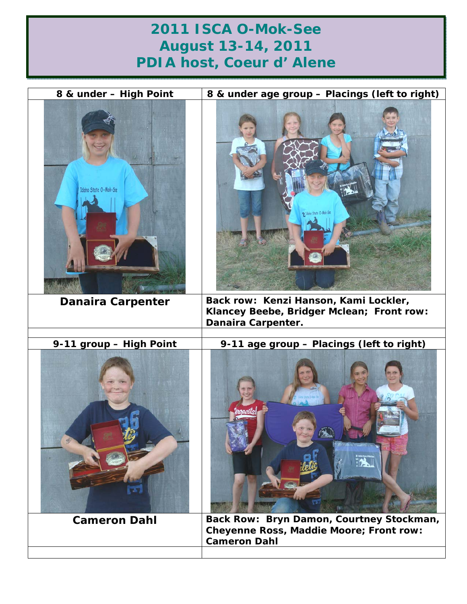## **2011 ISCA O-Mok-See August 13-14, 2011 PDIA host, Coeur d' Alene**

| 8 & under - High Point   | 8 & under age group - Placings (left to right)                                                             |
|--------------------------|------------------------------------------------------------------------------------------------------------|
| Idaho State O-Mok-See    | 9 Idaha State O-Mak-See                                                                                    |
| <b>Danaira Carpenter</b> | Back row: Kenzi Hanson, Kami Lockler,<br>Klancey Beebe, Bridger Mclean; Front row:<br>Danaira Carpenter.   |
|                          |                                                                                                            |
| 9-11 group - High Point  | 9-11 age group - Placings (left to right)                                                                  |
| <b>Cameron Dahl</b>      | Back Row: Bryn Damon, Courtney Stockman,<br>Cheyenne Ross, Maddie Moore; Front row:<br><b>Cameron Dahl</b> |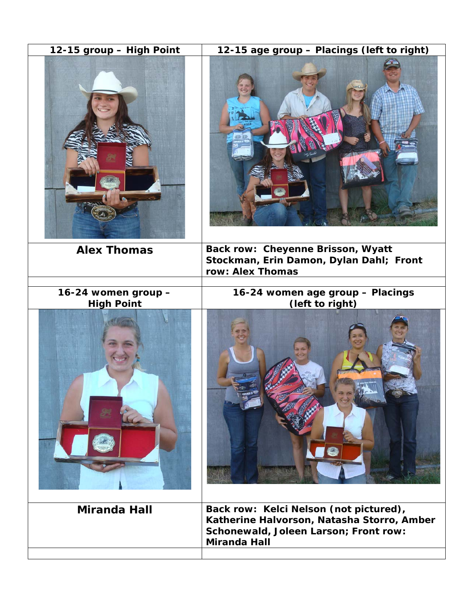| 12-15 group - High Point | 12-15 age group - Placings (left to right)                                                                                                           |
|--------------------------|------------------------------------------------------------------------------------------------------------------------------------------------------|
|                          |                                                                                                                                                      |
| <b>Alex Thomas</b>       | Back row: Cheyenne Brisson, Wyatt<br>Stockman, Erin Damon, Dylan Dahl; Front                                                                         |
|                          | row: Alex Thomas                                                                                                                                     |
| 16-24 women group -      | 16-24 women age group - Placings                                                                                                                     |
| <b>High Point</b>        | (left to right)                                                                                                                                      |
| <b>Miranda Hall</b>      | Back row: Kelci Nelson (not pictured),<br>Katherine Halvorson, Natasha Storro, Amber<br>Schonewald, Joleen Larson; Front row:<br><b>Miranda Hall</b> |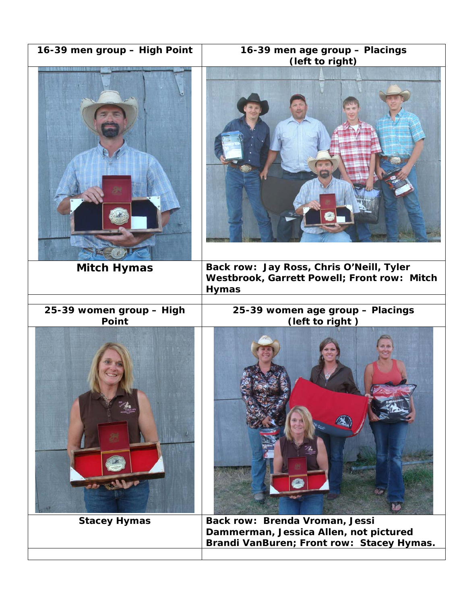| 16-39 men group - High Point             | 16-39 men age group - Placings<br>(left to right)                                                                     |
|------------------------------------------|-----------------------------------------------------------------------------------------------------------------------|
|                                          |                                                                                                                       |
| <b>Mitch Hymas</b>                       | Back row: Jay Ross, Chris O'Neill, Tyler<br>Westbrook, Garrett Powell; Front row: Mitch<br><b>Hymas</b>               |
| 25-39 women group - High<br><b>Point</b> | 25-39 women age group - Placings<br>(left to right)                                                                   |
|                                          |                                                                                                                       |
| <b>Stacey Hymas</b>                      | Back row: Brenda Vroman, Jessi<br>Dammerman, Jessica Allen, not pictured<br>Brandi VanBuren; Front row: Stacey Hymas. |